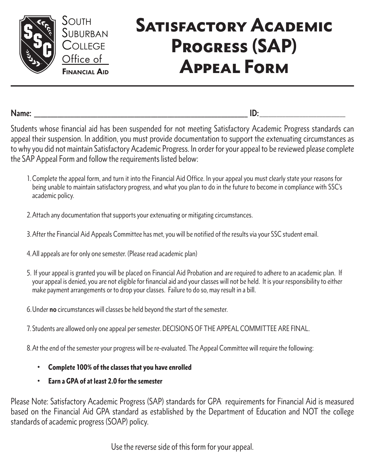

South

College

Office of

## SATISFACTORY ACADEMIC Progress (SAP) Appeal Form

**Name: \_\_\_\_\_\_\_\_\_\_\_\_\_\_\_\_\_\_\_\_\_\_\_\_\_\_\_\_\_\_\_\_\_\_\_\_\_\_\_\_\_\_\_\_\_\_\_\_\_\_\_\_\_\_\_\_\_\_\_\_\_\_\_\_ ID:** \_\_\_\_\_\_\_\_\_\_\_\_\_\_\_\_\_\_\_\_\_\_\_\_\_\_\_\_\_\_

Students whose financial aid has been suspended for not meeting Satisfactory Academic Progress standards can appeal their suspension. In addition, you must provide documentation to support the extenuating circumstances as to why you did not maintain Satisfactory Academic Progress. In order for your appeal to be reviewed please complete the SAP Appeal Form and follow the requirements listed below:

- 1.Complete the appeal form, and turn it into the Financial Aid Office. In your appeal you must clearly state your reasons for being unable to maintain satisfactory progress, and what you plan to do in the future to become in compliance with SSC's academic policy.
- 2.Attach any documentation that supports your extenuating or mitigating circumstances.
- 3.After the Financial Aid Appeals Committee has met, you will be notified of the results via your SSC student email.
- 4.All appeals are for only one semester. (Please read academic plan)
- 5. If your appeal is granted you will be placed on Financial Aid Probation and are required to adhere to an academic plan. If your appeal is denied, you are not eligible for financial aid and your classes will not be held. It is your responsibility to either make payment arrangements or to drop your classes. Failure to do so, may result in a bill.
- 6.Under **no** circumstances will classes be held beyond the start of the semester.
- 7. Students are allowed only one appeal per semester. DECISIONS OF THE APPEAL COMMITTEE ARE FINAL.
- 8.At the end of the semester your progress will be re-evaluated. The Appeal Committee will require the following:
	- Complete 100% of the classes that you have enrolled
	- Earn a GPA of at least 2.0 for the semester

Please Note: Satisfactory Academic Progress (SAP) standards for GPA requirements for Financial Aid is measured based on the Financial Aid GPA standard as established by the Department of Education and NOT the college standards of academic progress (SOAP) policy.

Use the reverse side of this form for your appeal.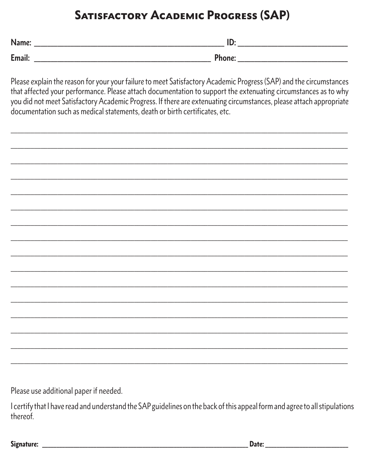## **SATISFACTORY ACADEMIC PROGRESS (SAP)**

| M                | <br>_______ |
|------------------|-------------|
| $T_{\text{max}}$ |             |
| ------           |             |

Please explain the reason for your your failure to meet Satisfactory Academic Progress (SAP) and the circumstances that affected your performance. Please attach documentation to support the extenuating circumstances as to why you did not meet Satisfactory Academic Progress. If there are extenuating circumstances, please attach appropriate documentation such as medical statements, death or birth certificates, etc.

Please use additional paper if needed.

I certify that I have read and understand the SAP guidelines on the back of this appeal form and agree to all stipulations thereof.